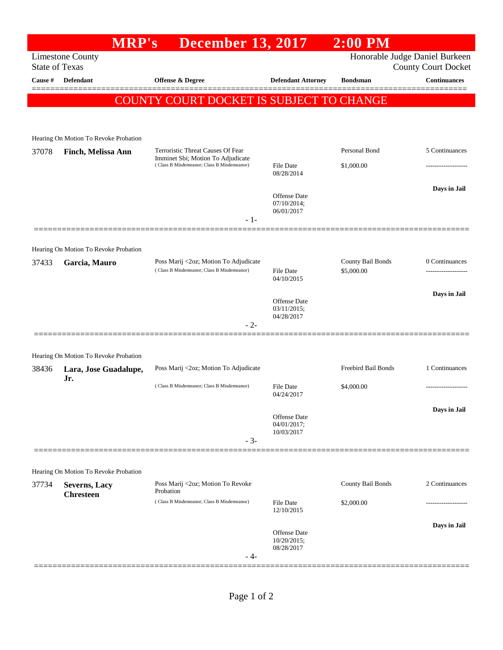## **MRP's December 13, 2017 2:00 PM** Limestone County Honorable Judge Daniel Burkeen State of Texas County Court Docket **Cause # Defendant Offense & Degree Defendant Attorney Bondsman Continuances** ============================================================================================== COUNTY COURT DOCKET IS SUBJECT TO CHANGE Hearing On Motion To Revoke Probation 37078 **Finch, Melissa Ann** Terroristic Threat Causes Of Fear Imminet Sbi; Motion To Adjudicate Personal Bond 5 Continuances ( Class B Misdemeanor; Class B Misdemeanor) File Date \$1,000.00 ------------------- 08/28/2014 **Days in Jail**  Offense Date 07/10/2014; 06/01/2017 - 1- ============================================================================================== Hearing On Motion To Revoke Probation 37433 **Garcia, Mauro** Poss Marij <2oz; Motion To Adjudicate County Bail Bonds 0 Continuances ( Class B Misdemeanor; Class B Misdemeanor) 04/10/2015 **Days in Jail**  Offense Date 03/11/2015; 04/28/2017 - 2- ============================================================================================== Hearing On Motion To Revoke Probation 38436 **Lara, Jose Guadalupe, Jr.** Poss Marij <2oz; Motion To Adjudicate Freebird Bail Bonds 1 Continuances ( Class B Misdemeanor; Class B Misdemeanor) File Date \$4,000.00 04/24/2017 **Days in Jail**  Offense Date 04/01/2017; 10/03/2017 - 3- ============================================================================================== Hearing On Motion To Revoke Probation 37734 **Severns, Lacy Chresteen** Poss Marij <2oz; Motion To Revoke Probation County Bail Bonds 2 Continuances ( Class B Misdemeanor; Class B Misdemeanor) File Date \$2,000.00 12/10/2015 **Days in Jail**  Offense Date 10/20/2015; 08/28/2017 - 4- ==============================================================================================